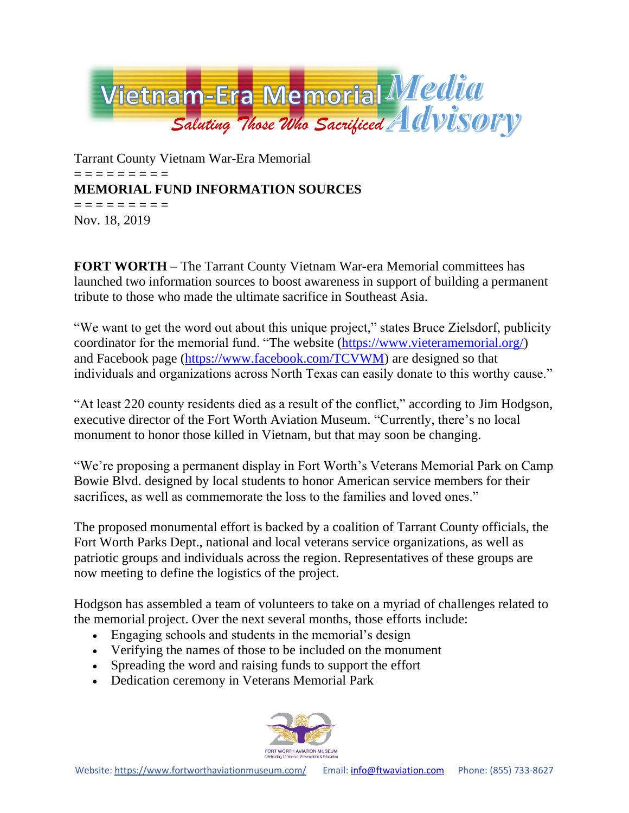

Tarrant County Vietnam War-Era Memorial = = = = = = = = = **MEMORIAL FUND INFORMATION SOURCES** = = = = = = = = = Nov. 18, 2019

**FORT WORTH** – The Tarrant County Vietnam War-era Memorial committees has launched two information sources to boost awareness in support of building a permanent tribute to those who made the ultimate sacrifice in Southeast Asia.

"We want to get the word out about this unique project," states Bruce Zielsdorf, publicity coordinator for the memorial fund. "The website [\(https://www.vieteramemorial.org/\)](https://www.vieteramemorial.org/) and Facebook page [\(https://www.facebook.com/TCVWM\)](https://www.facebook.com/TCVWM) are designed so that individuals and organizations across North Texas can easily donate to this worthy cause."

"At least 220 county residents died as a result of the conflict," according to Jim Hodgson, executive director of the Fort Worth Aviation Museum. "Currently, there's no local monument to honor those killed in Vietnam, but that may soon be changing.

"We're proposing a permanent display in Fort Worth's Veterans Memorial Park on Camp Bowie Blvd. designed by local students to honor American service members for their sacrifices, as well as commemorate the loss to the families and loved ones."

The proposed monumental effort is backed by a coalition of Tarrant County officials, the Fort Worth Parks Dept., national and local veterans service organizations, as well as patriotic groups and individuals across the region. Representatives of these groups are now meeting to define the logistics of the project.

Hodgson has assembled a team of volunteers to take on a myriad of challenges related to the memorial project. Over the next several months, those efforts include:

- Engaging schools and students in the memorial's design
- Verifying the names of those to be included on the monument
- Spreading the word and raising funds to support the effort
- Dedication ceremony in Veterans Memorial Park